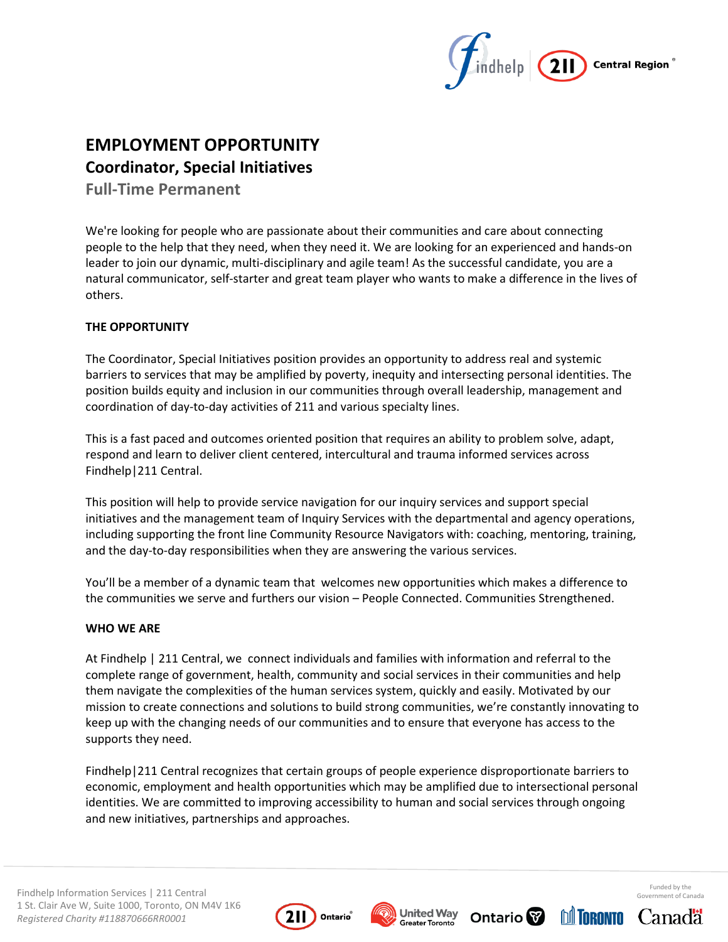

# **EMPLOYMENT OPPORTUNITY Coordinator, Special Initiatives**

**Full-Time Permanent** 

We're looking for people who are passionate about their communities and care about connecting people to the help that they need, when they need it. We are looking for an experienced and hands-on leader to join our dynamic, multi-disciplinary and agile team! As the successful candidate, you are a natural communicator, self-starter and great team player who wants to make a difference in the lives of others.

# **THE OPPORTUNITY**

The Coordinator, Special Initiatives position provides an opportunity to address real and systemic barriers to services that may be amplified by poverty, inequity and intersecting personal identities. The position builds equity and inclusion in our communities through overall leadership, management and coordination of day-to-day activities of 211 and various specialty lines.

This is a fast paced and outcomes oriented position that requires an ability to problem solve, adapt, respond and learn to deliver client centered, intercultural and trauma informed services across Findhelp|211 Central.

This position will help to provide service navigation for our inquiry services and support special initiatives and the management team of Inquiry Services with the departmental and agency operations, including supporting the front line Community Resource Navigators with: coaching, mentoring, training, and the day-to-day responsibilities when they are answering the various services.

You'll be a member of a dynamic team that welcomes new opportunities which makes a difference to the communities we serve and furthers our vision – People Connected. Communities Strengthened.

## **WHO WE ARE**

At Findhelp | 211 Central, we connect individuals and families with information and referral to the complete range of government, health, community and social services in their communities and help them navigate the complexities of the human services system, quickly and easily. Motivated by our mission to create connections and solutions to build strong communities, we're constantly innovating to keep up with the changing needs of our communities and to ensure that everyone has access to the supports they need.

Findhelp|211 Central recognizes that certain groups of people experience disproportionate barriers to economic, employment and health opportunities which may be amplified due to intersectional personal identities. We are committed to improving accessibility to human and social services through ongoing and new initiatives, partnerships and approaches.







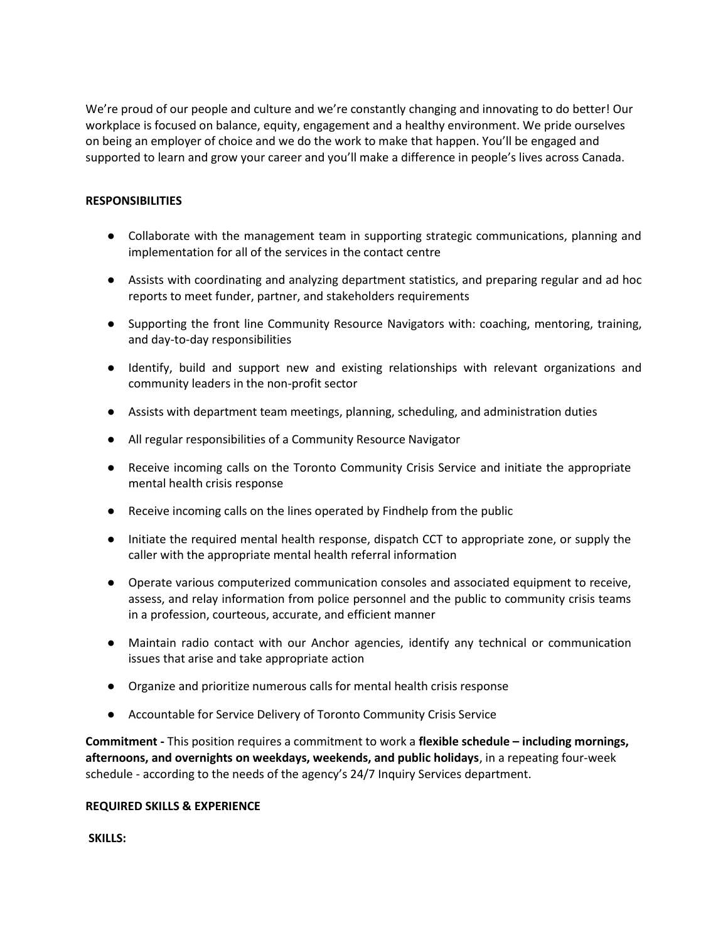We're proud of our people and culture and we're constantly changing and innovating to do better! Our workplace is focused on balance, equity, engagement and a healthy environment. We pride ourselves on being an employer of choice and we do the work to make that happen. You'll be engaged and supported to learn and grow your career and you'll make a difference in people's lives across Canada.

## **RESPONSIBILITIES**

- Collaborate with the management team in supporting strategic communications, planning and implementation for all of the services in the contact centre
- Assists with coordinating and analyzing department statistics, and preparing regular and ad hoc reports to meet funder, partner, and stakeholders requirements
- Supporting the front line Community Resource Navigators with: coaching, mentoring, training, and day-to-day responsibilities
- Identify, build and support new and existing relationships with relevant organizations and community leaders in the non-profit sector
- Assists with department team meetings, planning, scheduling, and administration duties
- All regular responsibilities of a Community Resource Navigator
- Receive incoming calls on the Toronto Community Crisis Service and initiate the appropriate mental health crisis response
- Receive incoming calls on the lines operated by Findhelp from the public
- Initiate the required mental health response, dispatch CCT to appropriate zone, or supply the caller with the appropriate mental health referral information
- Operate various computerized communication consoles and associated equipment to receive, assess, and relay information from police personnel and the public to community crisis teams in a profession, courteous, accurate, and efficient manner
- Maintain radio contact with our Anchor agencies, identify any technical or communication issues that arise and take appropriate action
- Organize and prioritize numerous calls for mental health crisis response
- Accountable for Service Delivery of Toronto Community Crisis Service

**Commitment -** This position requires a commitment to work a **flexible schedule – including mornings, afternoons, and overnights on weekdays, weekends, and public holidays**, in a repeating four-week schedule - according to the needs of the agency's 24/7 Inquiry Services department.

#### **REQUIRED SKILLS & EXPERIENCE**

**SKILLS:**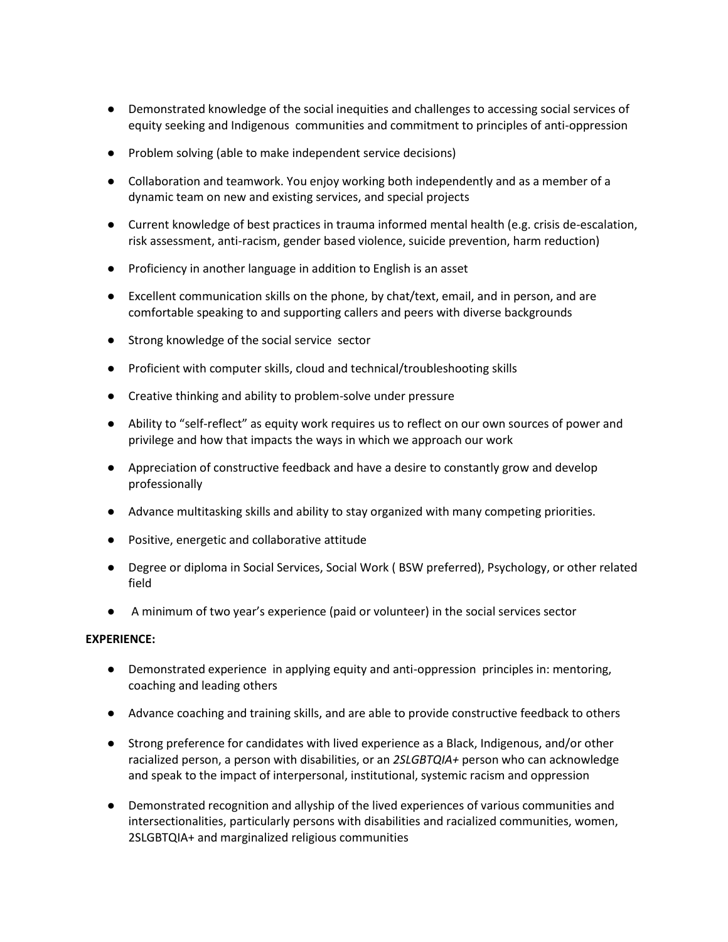- Demonstrated knowledge of the social inequities and challenges to accessing social services of equity seeking and Indigenous communities and commitment to principles of anti-oppression
- Problem solving (able to make independent service decisions)
- Collaboration and teamwork. You enjoy working both independently and as a member of a dynamic team on new and existing services, and special projects
- Current knowledge of best practices in trauma informed mental health (e.g. crisis de-escalation, risk assessment, anti-racism, gender based violence, suicide prevention, harm reduction)
- Proficiency in another language in addition to English is an asset
- Excellent communication skills on the phone, by chat/text, email, and in person, and are comfortable speaking to and supporting callers and peers with diverse backgrounds
- Strong knowledge of the social service sector
- Proficient with computer skills, cloud and technical/troubleshooting skills
- Creative thinking and ability to problem-solve under pressure
- Ability to "self-reflect" as equity work requires us to reflect on our own sources of power and privilege and how that impacts the ways in which we approach our work
- Appreciation of constructive feedback and have a desire to constantly grow and develop professionally
- Advance multitasking skills and ability to stay organized with many competing priorities.
- Positive, energetic and collaborative attitude
- Degree or diploma in Social Services, Social Work ( BSW preferred), Psychology, or other related field
- A minimum of two year's experience (paid or volunteer) in the social services sector

## **EXPERIENCE:**

- Demonstrated experience in applying equity and anti-oppression principles in: mentoring, coaching and leading others
- Advance coaching and training skills, and are able to provide constructive feedback to others
- Strong preference for candidates with lived experience as a Black, Indigenous, and/or other racialized person, a person with disabilities, or an *2SLGBTQIA+* person who can acknowledge and speak to the impact of interpersonal, institutional, systemic racism and oppression
- Demonstrated recognition and allyship of the lived experiences of various communities and intersectionalities, particularly persons with disabilities and racialized communities, women, 2SLGBTQIA+ and marginalized religious communities